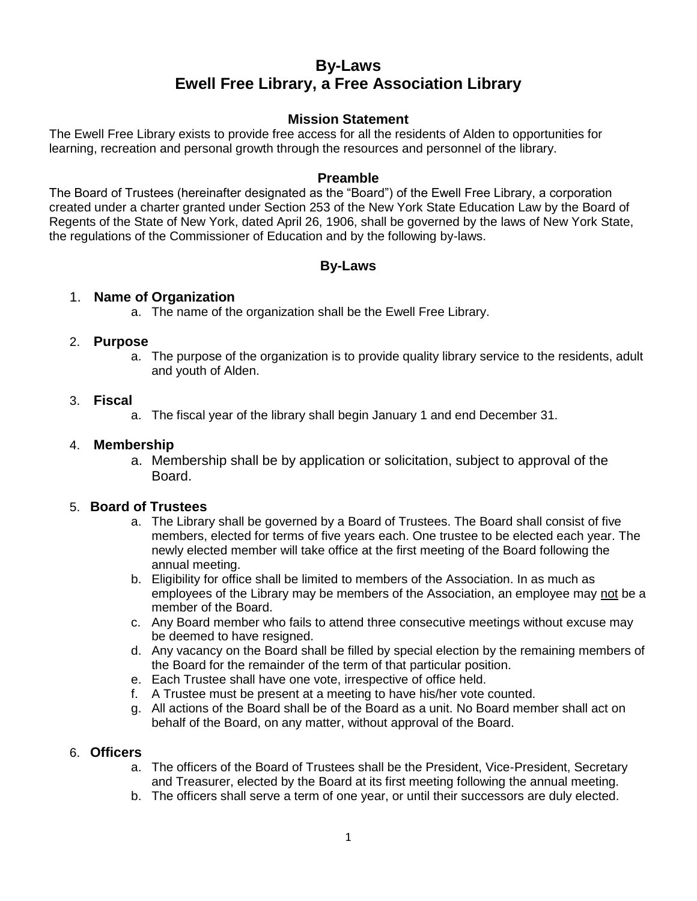# **By-Laws Ewell Free Library, a Free Association Library**

## **Mission Statement**

The Ewell Free Library exists to provide free access for all the residents of Alden to opportunities for learning, recreation and personal growth through the resources and personnel of the library.

## **Preamble**

The Board of Trustees (hereinafter designated as the "Board") of the Ewell Free Library, a corporation created under a charter granted under Section 253 of the New York State Education Law by the Board of Regents of the State of New York, dated April 26, 1906, shall be governed by the laws of New York State, the regulations of the Commissioner of Education and by the following by-laws.

# **By-Laws**

## 1. **Name of Organization**

a. The name of the organization shall be the Ewell Free Library.

#### 2. **Purpose**

a. The purpose of the organization is to provide quality library service to the residents, adult and youth of Alden.

#### 3. **Fiscal**

a. The fiscal year of the library shall begin January 1 and end December 31.

#### 4. **Membership**

a. Membership shall be by application or solicitation, subject to approval of the Board.

## 5. **Board of Trustees**

- a. The Library shall be governed by a Board of Trustees. The Board shall consist of five members, elected for terms of five years each. One trustee to be elected each year. The newly elected member will take office at the first meeting of the Board following the annual meeting.
- b. Eligibility for office shall be limited to members of the Association. In as much as employees of the Library may be members of the Association, an employee may not be a member of the Board.
- c. Any Board member who fails to attend three consecutive meetings without excuse may be deemed to have resigned.
- d. Any vacancy on the Board shall be filled by special election by the remaining members of the Board for the remainder of the term of that particular position.
- e. Each Trustee shall have one vote, irrespective of office held.
- f. A Trustee must be present at a meeting to have his/her vote counted.
- g. All actions of the Board shall be of the Board as a unit. No Board member shall act on behalf of the Board, on any matter, without approval of the Board.

#### 6. **Officers**

- a. The officers of the Board of Trustees shall be the President, Vice-President, Secretary and Treasurer, elected by the Board at its first meeting following the annual meeting.
- b. The officers shall serve a term of one year, or until their successors are duly elected.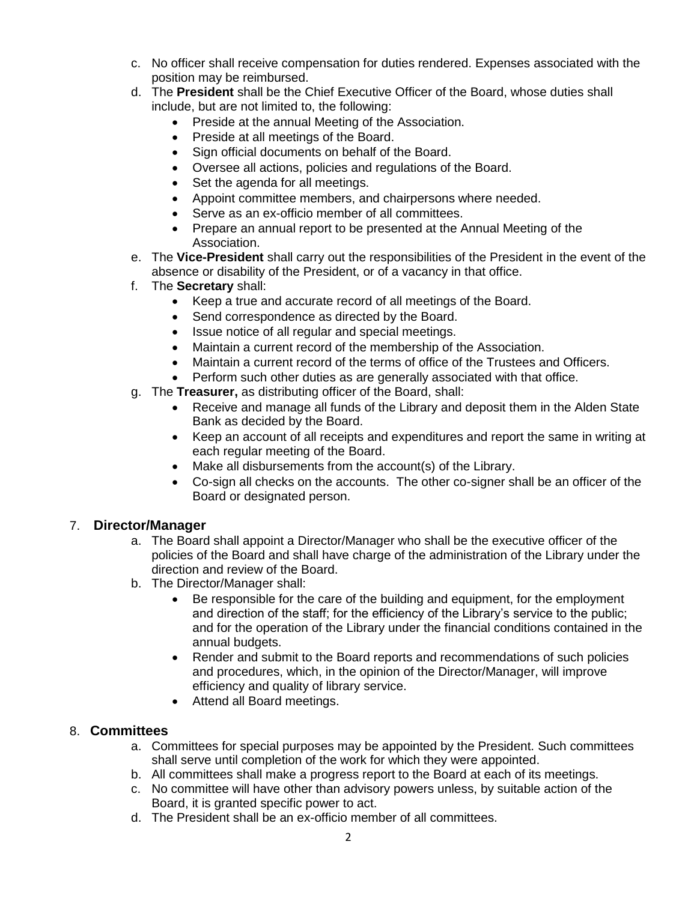- c. No officer shall receive compensation for duties rendered. Expenses associated with the position may be reimbursed.
- d. The **President** shall be the Chief Executive Officer of the Board, whose duties shall include, but are not limited to, the following:
	- Preside at the annual Meeting of the Association.
	- Preside at all meetings of the Board.
	- Sign official documents on behalf of the Board.
	- Oversee all actions, policies and regulations of the Board.
	- Set the agenda for all meetings.
	- Appoint committee members, and chairpersons where needed.
	- Serve as an ex-officio member of all committees.
	- Prepare an annual report to be presented at the Annual Meeting of the Association.
- e. The **Vice-President** shall carry out the responsibilities of the President in the event of the absence or disability of the President, or of a vacancy in that office.
- f. The **Secretary** shall:
	- Keep a true and accurate record of all meetings of the Board.
	- Send correspondence as directed by the Board.
	- Issue notice of all regular and special meetings.
	- Maintain a current record of the membership of the Association.
	- Maintain a current record of the terms of office of the Trustees and Officers.
	- Perform such other duties as are generally associated with that office.
- g. The **Treasurer,** as distributing officer of the Board, shall:
	- Receive and manage all funds of the Library and deposit them in the Alden State Bank as decided by the Board.
	- Keep an account of all receipts and expenditures and report the same in writing at each regular meeting of the Board.
	- Make all disbursements from the account(s) of the Library.
	- Co-sign all checks on the accounts. The other co-signer shall be an officer of the Board or designated person.

# 7. **Director/Manager**

- a. The Board shall appoint a Director/Manager who shall be the executive officer of the policies of the Board and shall have charge of the administration of the Library under the direction and review of the Board.
- b. The Director/Manager shall:
	- Be responsible for the care of the building and equipment, for the employment and direction of the staff; for the efficiency of the Library's service to the public; and for the operation of the Library under the financial conditions contained in the annual budgets.
	- Render and submit to the Board reports and recommendations of such policies and procedures, which, in the opinion of the Director/Manager, will improve efficiency and quality of library service.
	- Attend all Board meetings.

# 8. **Committees**

- a. Committees for special purposes may be appointed by the President. Such committees shall serve until completion of the work for which they were appointed.
- b. All committees shall make a progress report to the Board at each of its meetings.
- c. No committee will have other than advisory powers unless, by suitable action of the Board, it is granted specific power to act.
- d. The President shall be an ex-officio member of all committees.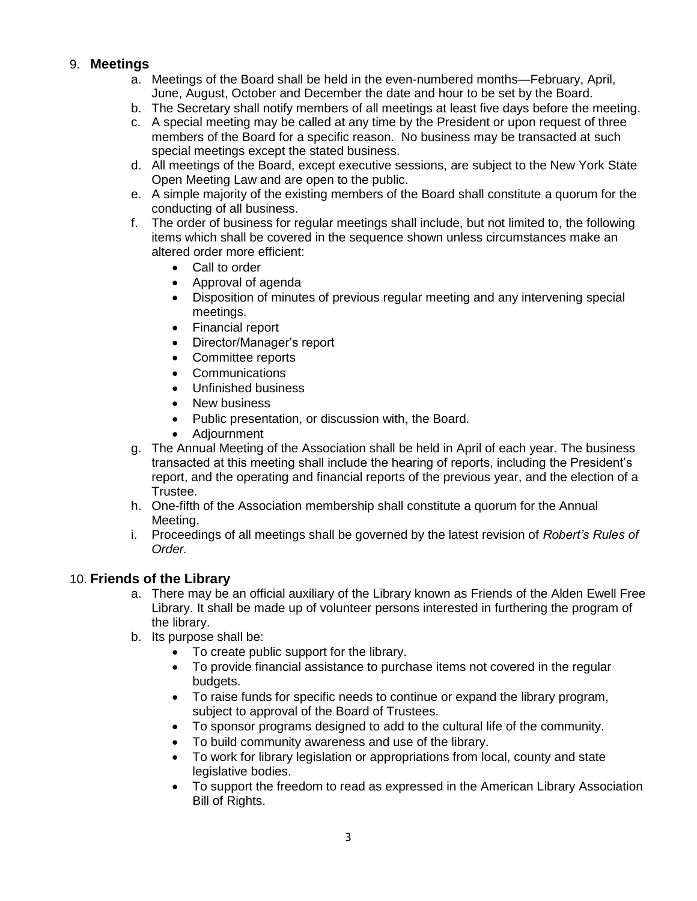# 9. **Meetings**

- a. Meetings of the Board shall be held in the even-numbered months—February, April, June, August, October and December the date and hour to be set by the Board.
- b. The Secretary shall notify members of all meetings at least five days before the meeting.
- c. A special meeting may be called at any time by the President or upon request of three members of the Board for a specific reason. No business may be transacted at such special meetings except the stated business.
- d. All meetings of the Board, except executive sessions, are subject to the New York State Open Meeting Law and are open to the public.
- e. A simple majority of the existing members of the Board shall constitute a quorum for the conducting of all business.
- f. The order of business for regular meetings shall include, but not limited to, the following items which shall be covered in the sequence shown unless circumstances make an altered order more efficient:
	- Call to order
	- Approval of agenda
	- Disposition of minutes of previous regular meeting and any intervening special meetings.
	- Financial report
	- Director/Manager's report
	- Committee reports
	- **Communications**
	- Unfinished business
	- New business
	- Public presentation, or discussion with, the Board.
	- Adjournment
- g. The Annual Meeting of the Association shall be held in April of each year. The business transacted at this meeting shall include the hearing of reports, including the President's report, and the operating and financial reports of the previous year, and the election of a Trustee.
- h. One-fifth of the Association membership shall constitute a quorum for the Annual Meeting.
- i. Proceedings of all meetings shall be governed by the latest revision of *Robert's Rules of Order.*

# 10. **Friends of the Library**

- a. There may be an official auxiliary of the Library known as Friends of the Alden Ewell Free Library. It shall be made up of volunteer persons interested in furthering the program of the library.
- b. Its purpose shall be:
	- To create public support for the library.
	- To provide financial assistance to purchase items not covered in the regular budgets.
	- To raise funds for specific needs to continue or expand the library program, subject to approval of the Board of Trustees.
	- To sponsor programs designed to add to the cultural life of the community.
	- To build community awareness and use of the library.
	- To work for library legislation or appropriations from local, county and state legislative bodies.
	- To support the freedom to read as expressed in the American Library Association Bill of Rights.